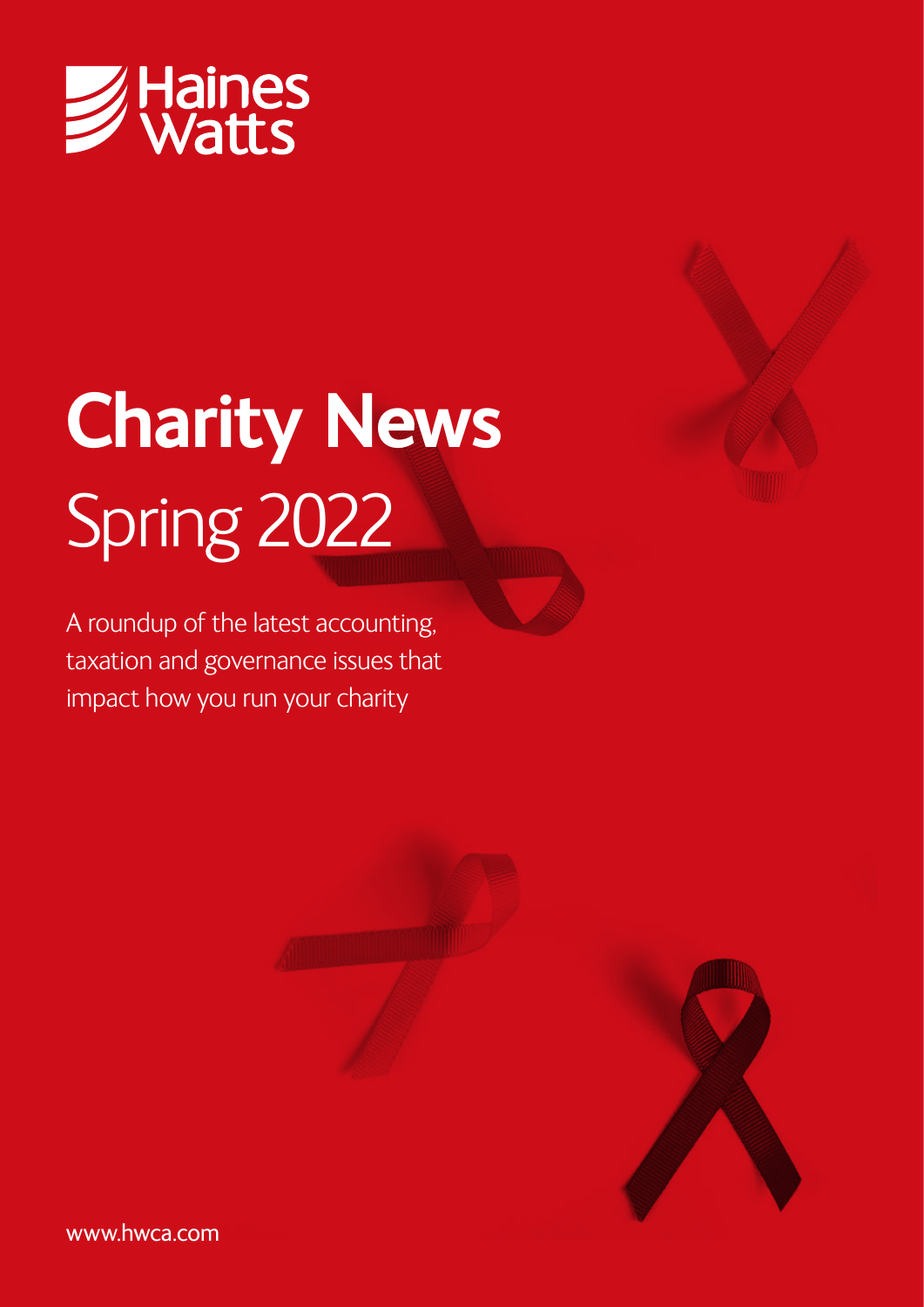

# **Charity News** Spring 2022

A roundup of the latest accounting, taxation and governance issues that impact how you run your charity







www.hwca.com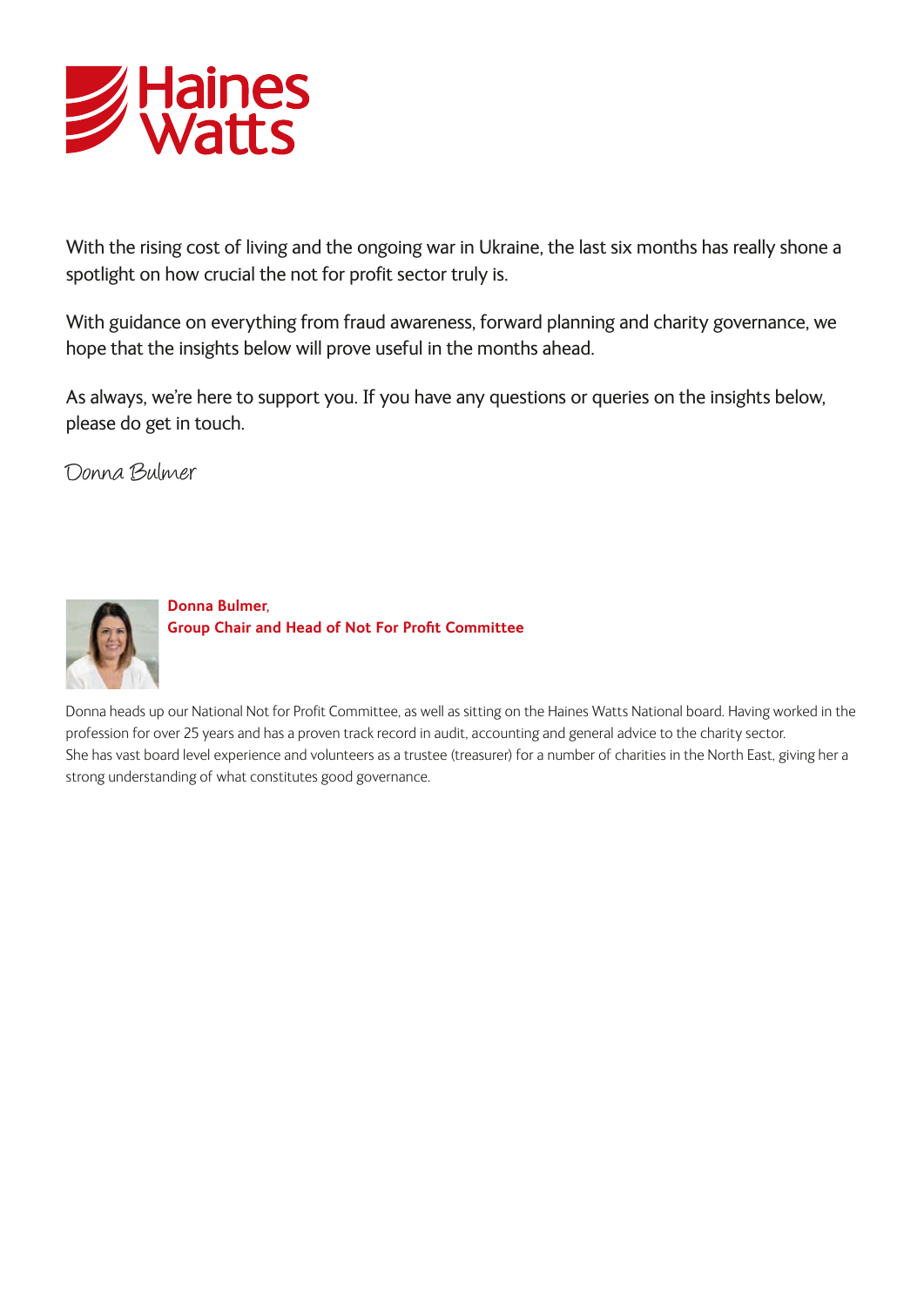

With the rising cost of living and the ongoing war in Ukraine, the last six months has really shone a spotlight on how crucial the not for profit sector truly is.

With guidance on everything from fraud awareness, forward planning and charity governance, we hope that the insights below will prove useful in the months ahead.

As always, we're here to support you. If you have any questions or queries on the insights below, please do get in touch.

Donna Bulmer



**Donna Bulmer, Group Chair and Head of Not For Profit Committee**

Donna heads up our National Not for Profit Committee, as well as sitting on the Haines Watts National board. Having worked in the profession for over 25 years and has a proven track record in audit, accounting and general advice to the charity sector. She has vast board level experience and volunteers as a trustee (treasurer) for a number of charities in the North East, giving her a strong understanding of what constitutes good governance.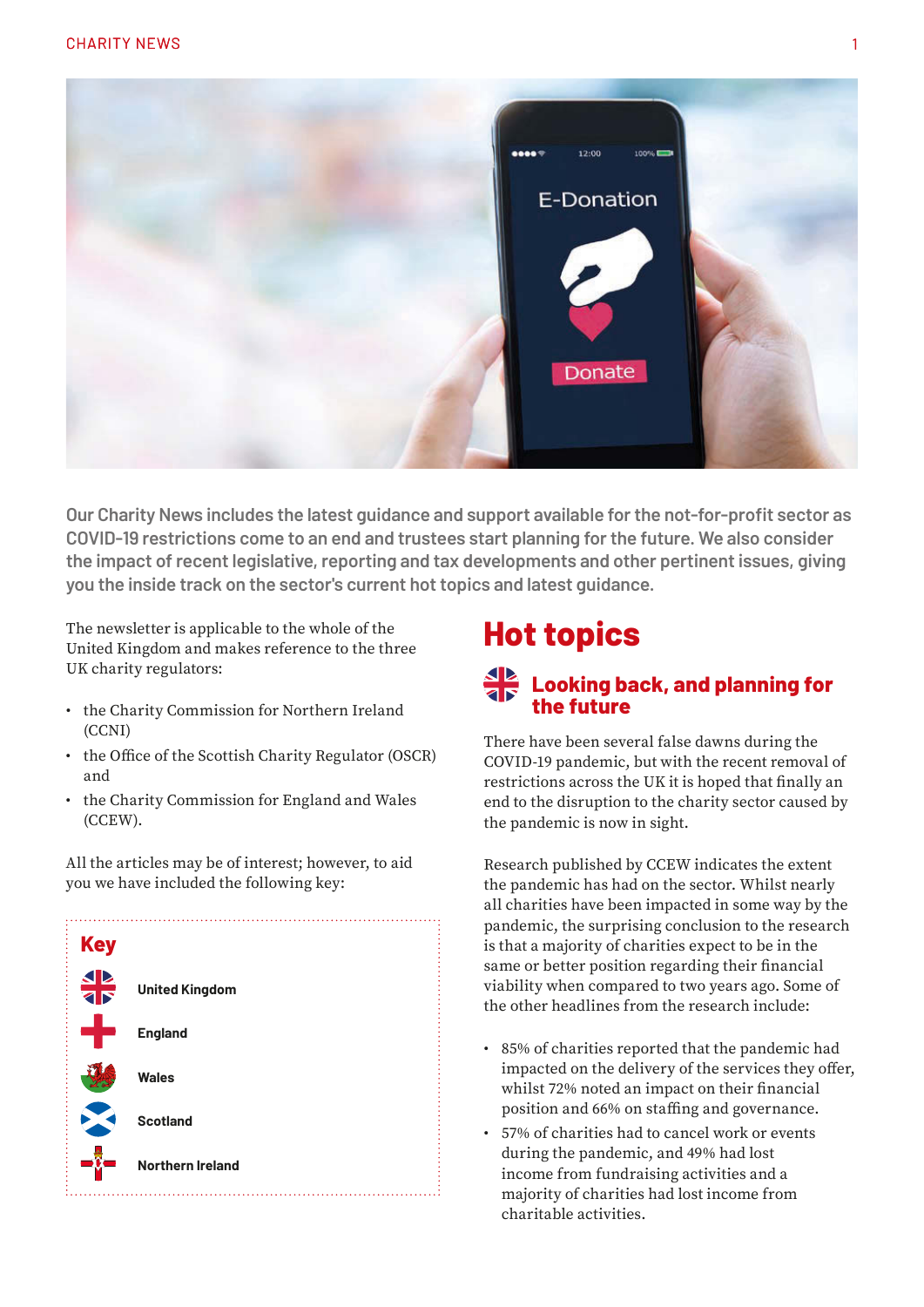

**Our Charity News includes the latest guidance and support available for the not-for-profit sector as COVID-19 restrictions come to an end and trustees start planning for the future. We also consider the impact of recent legislative, reporting and tax developments and other pertinent issues, giving you the inside track on the sector's current hot topics and latest guidance.**

The newsletter is applicable to the whole of the United Kingdom and makes reference to the three UK charity regulators:

- the Charity Commission for Northern Ireland (CCNI)
- the Office of the Scottish Charity Regulator (OSCR) and
- the Charity Commission for England and Wales (CCEW).

All the articles may be of interest; however, to aid you we have included the following key:



## **Hot topics**

#### **Looking back, and planning for the future**

There have been several false dawns during the COVID-19 pandemic, but with the recent removal of restrictions across the UK it is hoped that finally an end to the disruption to the charity sector caused by the pandemic is now in sight.

Research published by CCEW indicates the extent the pandemic has had on the sector. Whilst nearly all charities have been impacted in some way by the pandemic, the surprising conclusion to the research is that a majority of charities expect to be in the same or better position regarding their financial viability when compared to two years ago. Some of the other headlines from the research include:

- 85% of charities reported that the pandemic had impacted on the delivery of the services they offer, whilst 72% noted an impact on their financial position and 66% on staffing and governance.
- 57% of charities had to cancel work or events during the pandemic, and 49% had lost income from fundraising activities and a majority of charities had lost income from charitable activities.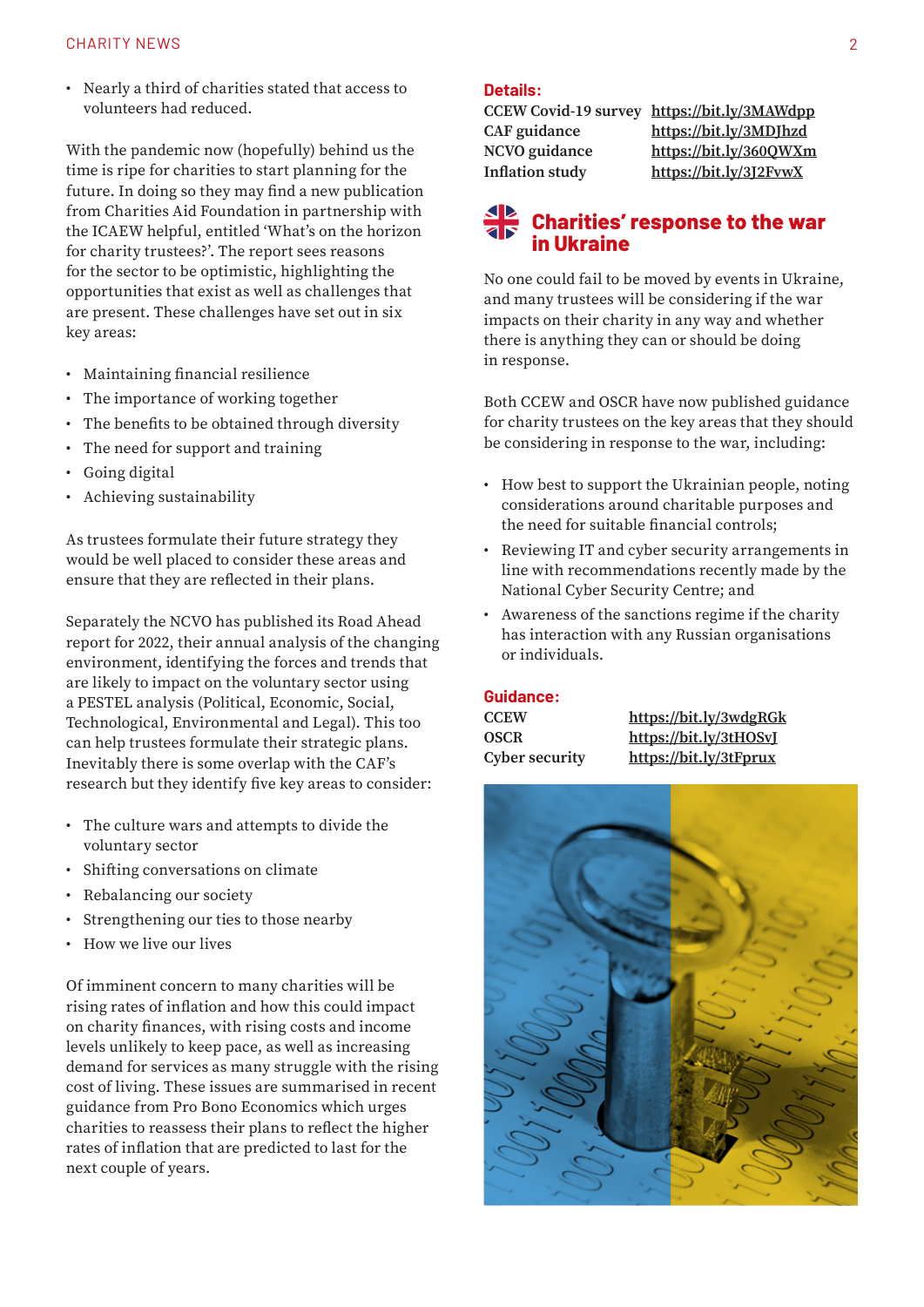• Nearly a third of charities stated that access to volunteers had reduced.

With the pandemic now (hopefully) behind us the time is ripe for charities to start planning for the future. In doing so they may find a new publication from Charities Aid Foundation in partnership with the ICAEW helpful, entitled 'What's on the horizon for charity trustees?'. The report sees reasons for the sector to be optimistic, highlighting the opportunities that exist as well as challenges that are present. These challenges have set out in six key areas:

- Maintaining financial resilience
- The importance of working together
- The benefits to be obtained through diversity
- The need for support and training
- Going digital
- Achieving sustainability

As trustees formulate their future strategy they would be well placed to consider these areas and ensure that they are reflected in their plans.

Separately the NCVO has published its Road Ahead report for 2022, their annual analysis of the changing environment, identifying the forces and trends that are likely to impact on the voluntary sector using a PESTEL analysis (Political, Economic, Social, Technological, Environmental and Legal). This too can help trustees formulate their strategic plans. Inevitably there is some overlap with the CAF's research but they identify five key areas to consider:

- The culture wars and attempts to divide the voluntary sector
- Shifting conversations on climate
- Rebalancing our society
- Strengthening our ties to those nearby
- How we live our lives

Of imminent concern to many charities will be rising rates of inflation and how this could impact on charity finances, with rising costs and income levels unlikely to keep pace, as well as increasing demand for services as many struggle with the rising cost of living. These issues are summarised in recent guidance from Pro Bono Economics which urges charities to reassess their plans to reflect the higher rates of inflation that are predicted to last for the next couple of years.

#### **Details:**

**CCEW Covid-19 survey [https://bit.ly/3MAWdpp](https://www.gov.uk/government/publications/charity-commission-covid-19-survey-2021/covid-19-survey-2021) CAF guidance [https://bit.ly/3MDJhzd](https://www.cafonline.org/charities/trustees-and-governance/the-future-of-charity-trusteeship) NCVO guidance [https://bit.ly/360QWXm](https://beta.ncvo.org.uk/ncvo-publications/road-ahead-2022/?dm_i=G8B,7QWGS,1EPCAE,VL4BV,1) Inflation study [https://bit.ly/3J2FvwX](https://www.probonoeconomics.com/news/rising-inflation-what-do-charities-need-to-know?dm_i=G8B,7QWGS,1EPCAE,VL4BW,1)**

#### **Charities' response to the war in Ukraine**

No one could fail to be moved by events in Ukraine, and many trustees will be considering if the war impacts on their charity in any way and whether there is anything they can or should be doing in response.

Both CCEW and OSCR have now published guidance for charity trustees on the key areas that they should be considering in response to the war, including:

- How best to support the Ukrainian people, noting considerations around charitable purposes and the need for suitable financial controls;
- Reviewing IT and cyber security arrangements in line with recommendations recently made by the National Cyber Security Centre; and
- Awareness of the sanctions regime if the charity has interaction with any Russian organisations or individuals.

#### **Guidance:**

| CCEW           | https://bit.ly/3wdgRGk |
|----------------|------------------------|
| OSCR           | https://bit.ly/3tHOSvI |
| Cyber security | https://bit.ly/3tFprux |

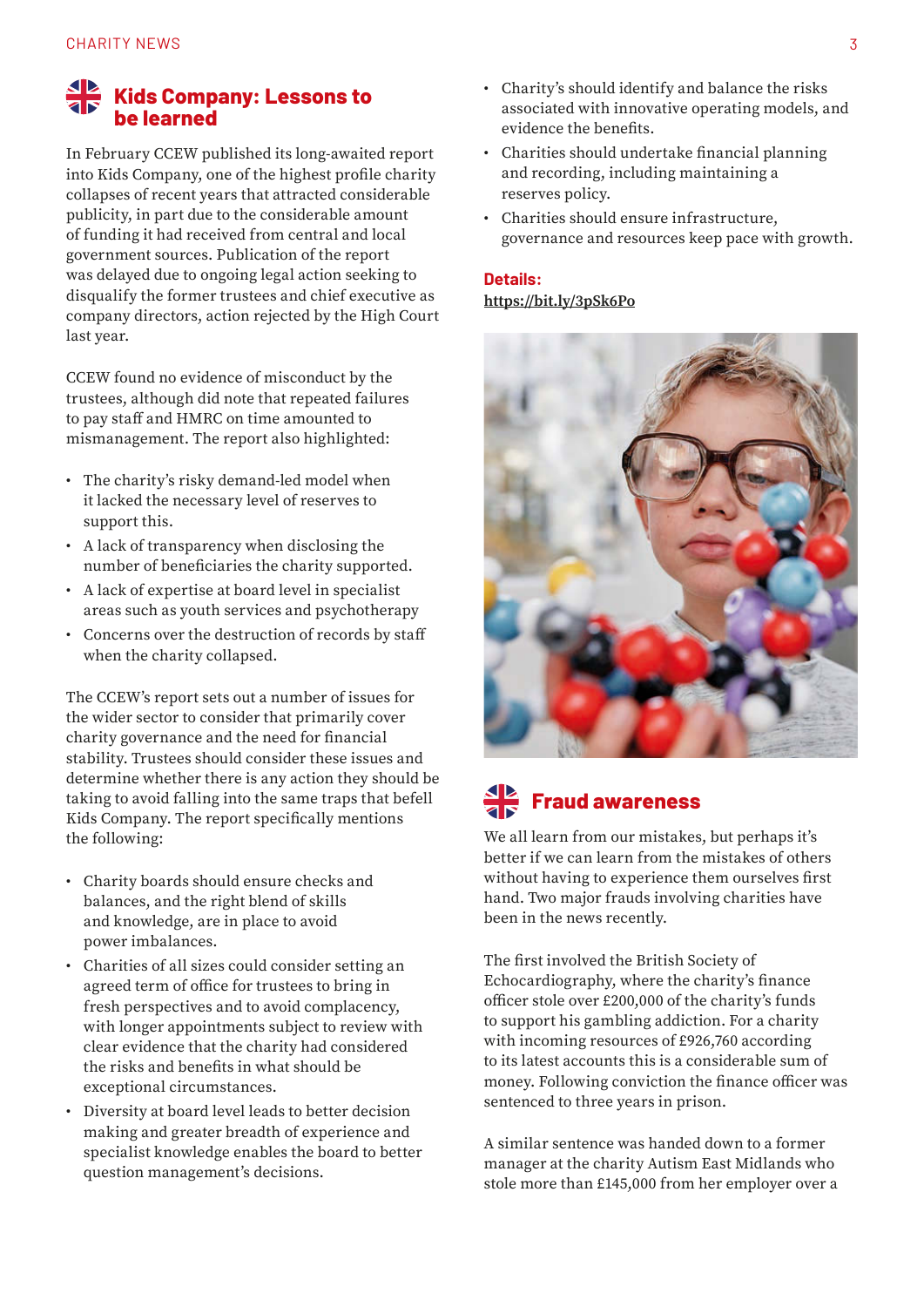#### **Kids Company: Lessons to be learned**

In February CCEW published its long-awaited report into Kids Company, one of the highest profile charity collapses of recent years that attracted considerable publicity, in part due to the considerable amount of funding it had received from central and local government sources. Publication of the report was delayed due to ongoing legal action seeking to disqualify the former trustees and chief executive as company directors, action rejected by the High Court last year.

CCEW found no evidence of misconduct by the trustees, although did note that repeated failures to pay staff and HMRC on time amounted to mismanagement. The report also highlighted:

- The charity's risky demand-led model when it lacked the necessary level of reserves to support this.
- A lack of transparency when disclosing the number of beneficiaries the charity supported.
- A lack of expertise at board level in specialist areas such as youth services and psychotherapy
- Concerns over the destruction of records by staff when the charity collapsed.

The CCEW's report sets out a number of issues for the wider sector to consider that primarily cover charity governance and the need for financial stability. Trustees should consider these issues and determine whether there is any action they should be taking to avoid falling into the same traps that befell Kids Company. The report specifically mentions the following:

- Charity boards should ensure checks and balances, and the right blend of skills and knowledge, are in place to avoid power imbalances.
- Charities of all sizes could consider setting an agreed term of office for trustees to bring in fresh perspectives and to avoid complacency, with longer appointments subject to review with clear evidence that the charity had considered the risks and benefits in what should be exceptional circumstances.
- Diversity at board level leads to better decision making and greater breadth of experience and specialist knowledge enables the board to better question management's decisions.
- Charity's should identify and balance the risks associated with innovative operating models, and evidence the benefits.
- Charities should undertake financial planning and recording, including maintaining a reserves policy.
- Charities should ensure infrastructure, governance and resources keep pace with growth.

#### **Details: [https://bit.ly/3pSk6Po](https://www.gov.uk/government/news/official-report-criticises-former-trustees-of-kids-company)**



# **Fraud awareness**

We all learn from our mistakes, but perhaps it's better if we can learn from the mistakes of others without having to experience them ourselves first hand. Two major frauds involving charities have been in the news recently.

The first involved the British Society of Echocardiography, where the charity's finance officer stole over £200,000 of the charity's funds to support his gambling addiction. For a charity with incoming resources of £926,760 according to its latest accounts this is a considerable sum of money. Following conviction the finance officer was sentenced to three years in prison.

A similar sentence was handed down to a former manager at the charity Autism East Midlands who stole more than £145,000 from her employer over a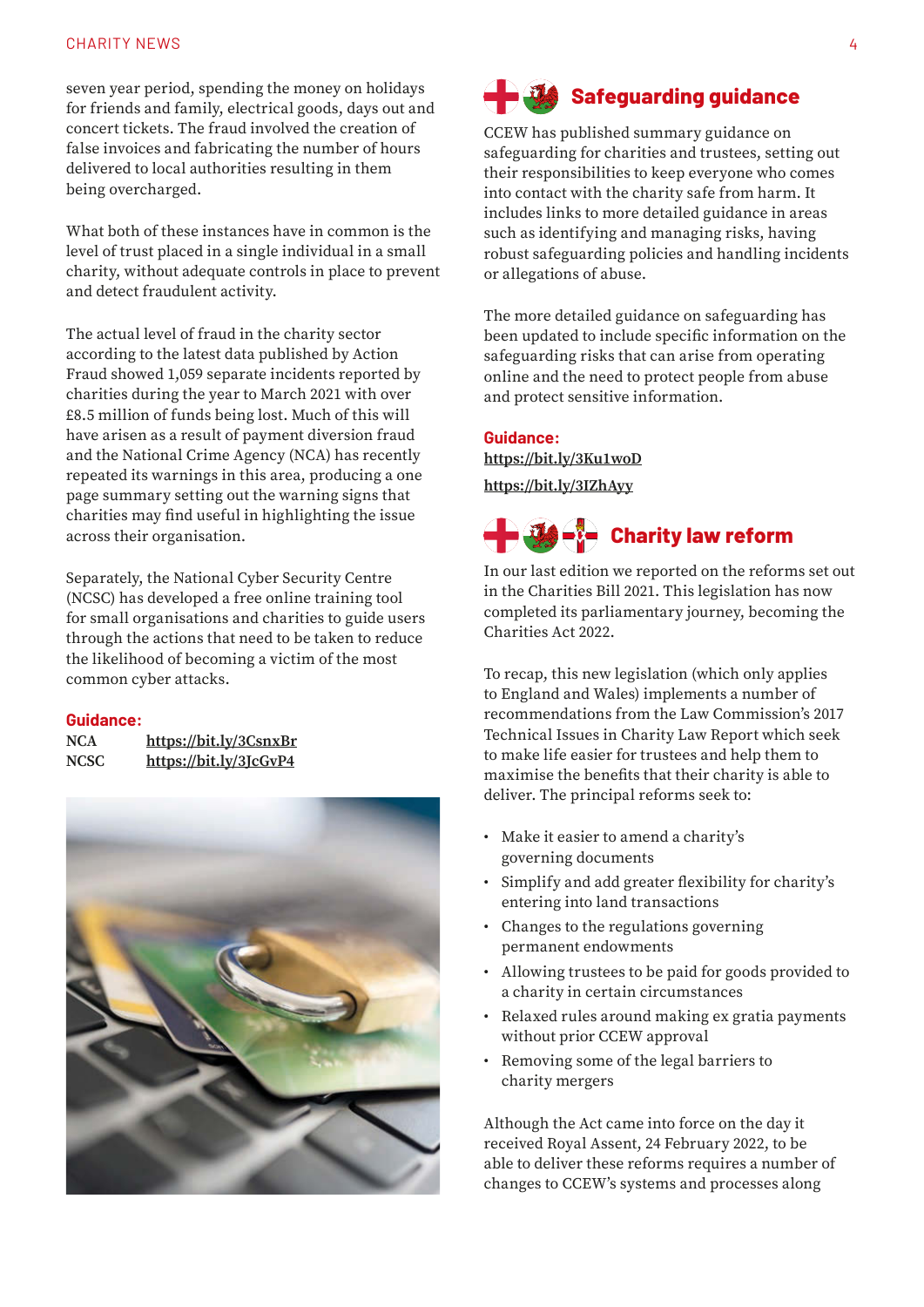#### CHARITY NEWS 4 and 2008 1 and 2008 1 and 2008 1 and 2008 1 and 2008 1 and 2008 1 and 2008 1 and 2008 1 and 200

seven year period, spending the money on holidays for friends and family, electrical goods, days out and concert tickets. The fraud involved the creation of false invoices and fabricating the number of hours delivered to local authorities resulting in them being overcharged.

What both of these instances have in common is the level of trust placed in a single individual in a small charity, without adequate controls in place to prevent and detect fraudulent activity.

The actual level of fraud in the charity sector according to the latest data published by Action Fraud showed 1,059 separate incidents reported by charities during the year to March 2021 with over £8.5 million of funds being lost. Much of this will have arisen as a result of payment diversion fraud and the National Crime Agency (NCA) has recently repeated its warnings in this area, producing a one page summary setting out the warning signs that charities may find useful in highlighting the issue across their organisation.

Separately, the National Cyber Security Centre (NCSC) has developed a free online training tool for small organisations and charities to guide users through the actions that need to be taken to reduce the likelihood of becoming a victim of the most common cyber attacks.

#### **Guidance:**

| NCA         | https://bit.ly/3CsnxBr |
|-------------|------------------------|
| <b>NCSC</b> | https://bit.ly/3JcGvP4 |



# **Safeguarding guidance**

CCEW has published summary guidance on safeguarding for charities and trustees, setting out their responsibilities to keep everyone who comes into contact with the charity safe from harm. It includes links to more detailed guidance in areas such as identifying and managing risks, having robust safeguarding policies and handling incidents or allegations of abuse.

The more detailed guidance on safeguarding has been updated to include specific information on the safeguarding risks that can arise from operating online and the need to protect people from abuse and protect sensitive information.

#### **Guidance: [https://bit.ly/3Ku1woD](https://www.gov.uk/guidance/safeguarding-for-charities-and-trustees)  [https://bit.ly/3IZhAyy](https://www.gov.uk/guidance/safeguarding-duties-for-charity-trustees)**



In our last edition we reported on the reforms set out in the Charities Bill 2021. This legislation has now completed its parliamentary journey, becoming the Charities Act 2022.

To recap, this new legislation (which only applies to England and Wales) implements a number of recommendations from the Law Commission's 2017 Technical Issues in Charity Law Report which seek to make life easier for trustees and help them to maximise the benefits that their charity is able to deliver. The principal reforms seek to:

- Make it easier to amend a charity's governing documents
- Simplify and add greater flexibility for charity's entering into land transactions
- Changes to the regulations governing permanent endowments
- Allowing trustees to be paid for goods provided to a charity in certain circumstances
- Relaxed rules around making ex gratia payments without prior CCEW approval
- Removing some of the legal barriers to charity mergers

Although the Act came into force on the day it received Royal Assent, 24 February 2022, to be able to deliver these reforms requires a number of changes to CCEW's systems and processes along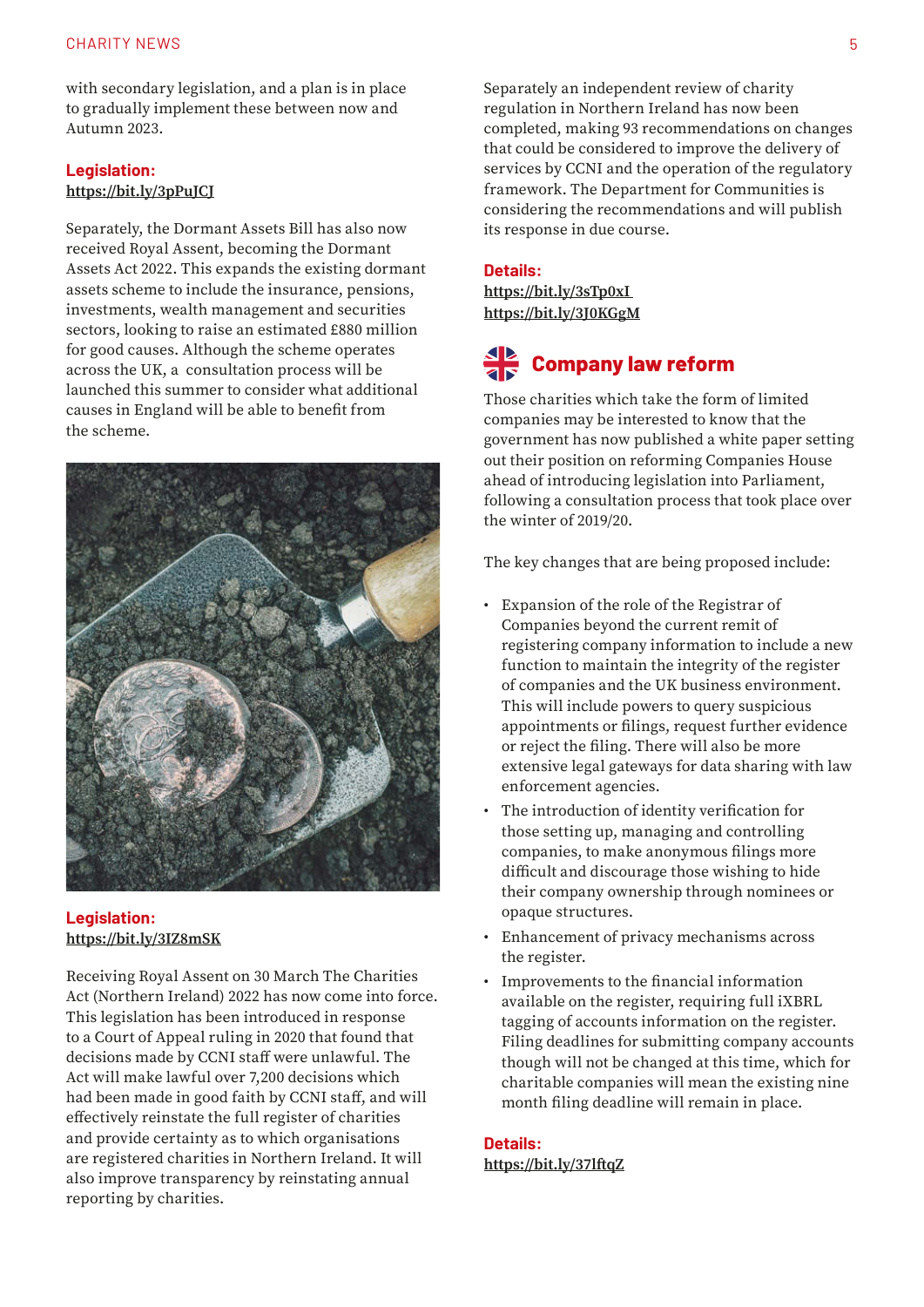with secondary legislation, and a plan is in place to gradually implement these between now and Autumn 2023.

#### **Legislation: [https://bit.ly/3pPuJCJ](https://www.legislation.gov.uk/ukpga/2022/6/contents/enacted)**

Separately, the Dormant Assets Bill has also now received Royal Assent, becoming the Dormant Assets Act 2022. This expands the existing dormant assets scheme to include the insurance, pensions, investments, wealth management and securities sectors, looking to raise an estimated £880 million for good causes. Although the scheme operates across the UK, a consultation process will be launched this summer to consider what additional causes in England will be able to benefit from the scheme.



**Legislation: [https://bit.ly/3IZ8mSK](https://www.legislation.gov.uk/ukpga/2022/5/contents/enacted)**

Receiving Royal Assent on 30 March The Charities Act (Northern Ireland) 2022 has now come into force. This legislation has been introduced in response to a Court of Appeal ruling in 2020 that found that decisions made by CCNI staff were unlawful. The Act will make lawful over 7,200 decisions which had been made in good faith by CCNI staff, and will effectively reinstate the full register of charities and provide certainty as to which organisations are registered charities in Northern Ireland. It will also improve transparency by reinstating annual reporting by charities.

Separately an independent review of charity regulation in Northern Ireland has now been completed, making 93 recommendations on changes that could be considered to improve the delivery of services by CCNI and the operation of the regulatory framework. The Department for Communities is considering the recommendations and will publish its response in due course.

#### **Details:**

**[https://bit.ly/3sTp0xI](https://www.charitycommissionni.org.uk/news/the-charities-act-northern-ireland-2022/) [https://bit.ly/3J0KGgM](https://www.communities-ni.gov.uk/publications/independent-review-charity-regulation)**

# **Company law reform**

Those charities which take the form of limited companies may be interested to know that the government has now published a white paper setting out their position on reforming Companies House ahead of introducing legislation into Parliament, following a consultation process that took place over the winter of 2019/20.

The key changes that are being proposed include:

- Expansion of the role of the Registrar of Companies beyond the current remit of registering company information to include a new function to maintain the integrity of the register of companies and the UK business environment. This will include powers to query suspicious appointments or filings, request further evidence or reject the filing. There will also be more extensive legal gateways for data sharing with law enforcement agencies.
- The introduction of identity verification for those setting up, managing and controlling companies, to make anonymous filings more difficult and discourage those wishing to hide their company ownership through nominees or opaque structures.
- Enhancement of privacy mechanisms across the register.
- Improvements to the financial information available on the register, requiring full iXBRL tagging of accounts information on the register. Filing deadlines for submitting company accounts though will not be changed at this time, which for charitable companies will mean the existing nine month filing deadline will remain in place.

#### **Details:**

**[https://bit.ly/37lftqZ](https://www.gov.uk/government/publications/corporate-transparency-and-register-reform)**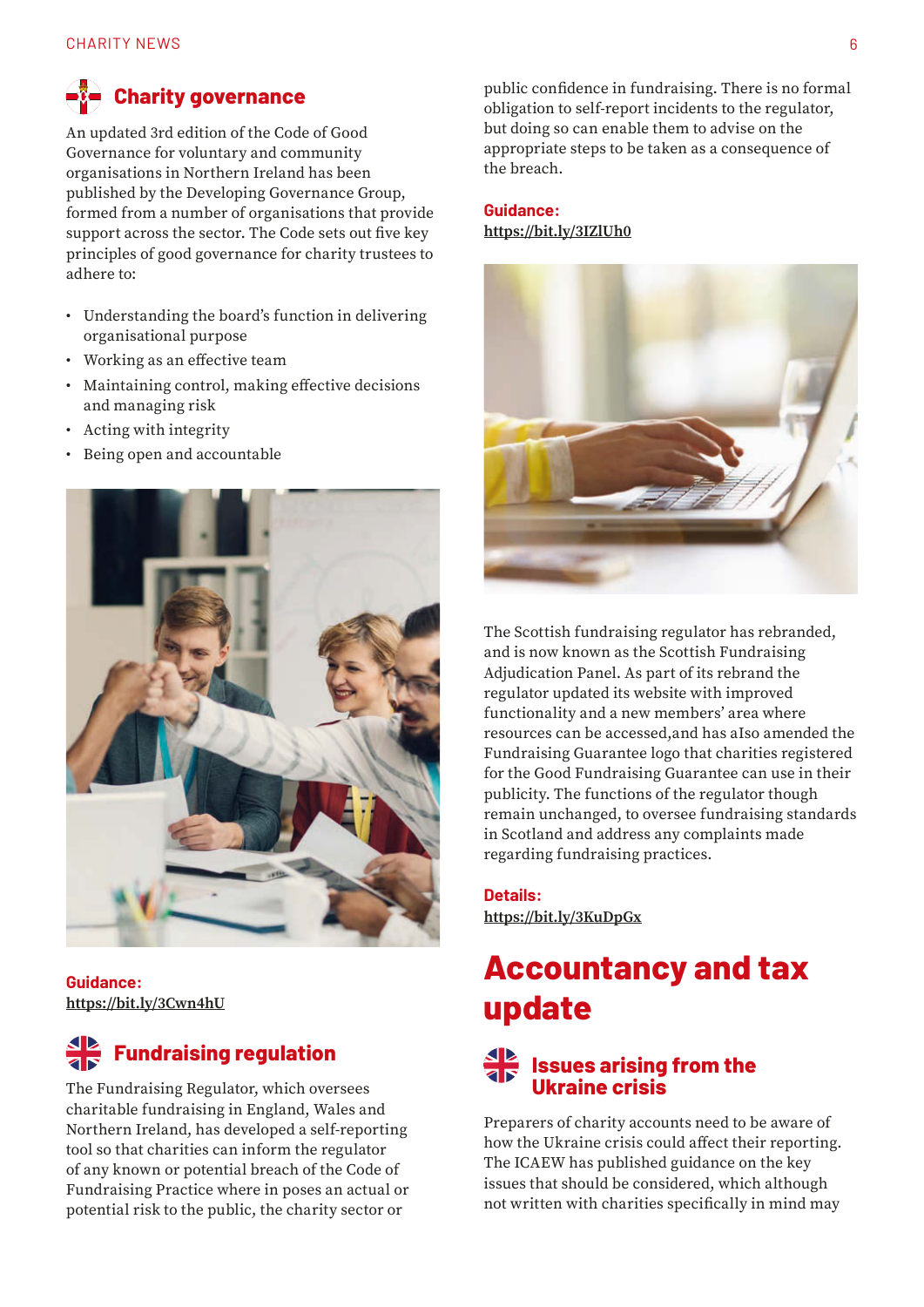# **Charity governance**

An updated 3rd edition of the Code of Good Governance for voluntary and community organisations in Northern Ireland has been published by the Developing Governance Group, formed from a number of organisations that provide support across the sector. The Code sets out five key principles of good governance for charity trustees to adhere to:

- Understanding the board's function in delivering organisational purpose
- Working as an effective team
- Maintaining control, making effective decisions and managing risk
- Acting with integrity
- Being open and accountable



**Guidance: [https://bit.ly/3Cwn4hU](https://www.nicva.org/resource/code-of-good-governance-3rd-edition-0)**

# **Fundraising regulation**

The Fundraising Regulator, which oversees charitable fundraising in England, Wales and Northern Ireland, has developed a self-reporting tool so that charities can inform the regulator of any known or potential breach of the Code of Fundraising Practice where in poses an actual or potential risk to the public, the charity sector or

public confidence in fundraising. There is no formal obligation to self-report incidents to the regulator, but doing so can enable them to advise on the appropriate steps to be taken as a consequence of the breach.

#### **Guidance: [https://bit.ly/3IZlUh0](https://www.fundraisingregulator.org.uk/more-from-us/self-reporting?utm_medium=email&utm_campaign=FR%20March%202022%20newsletter&utm_content=FR%20March%202022%20newsletter+CID_c9a26b46e67b6ba732eed893ac193776&utm_source=Campaign%20Monitor&utm_term=self-reporting%20tool)**



The Scottish fundraising regulator has rebranded, and is now known as the Scottish Fundraising Adjudication Panel. As part of its rebrand the regulator updated its website with improved functionality and a new members' area where resources can be accessed,and has aIso amended the Fundraising Guarantee logo that charities registered for the Good Fundraising Guarantee can use in their publicity. The functions of the regulator though remain unchanged, to oversee fundraising standards in Scotland and address any complaints made regarding fundraising practices.

**Details: [https://bit.ly/3KuDpGx](https://goodfundraising.scot/scottish-fundraising-adjudication-panel-launches-new-brand-website-and-fundraising-guarantee-logo/)**

# **Accountancy and tax update**

#### **Issues arising from the Ukraine crisis**

Preparers of charity accounts need to be aware of how the Ukraine crisis could affect their reporting. The ICAEW has published guidance on the key issues that should be considered, which although not written with charities specifically in mind may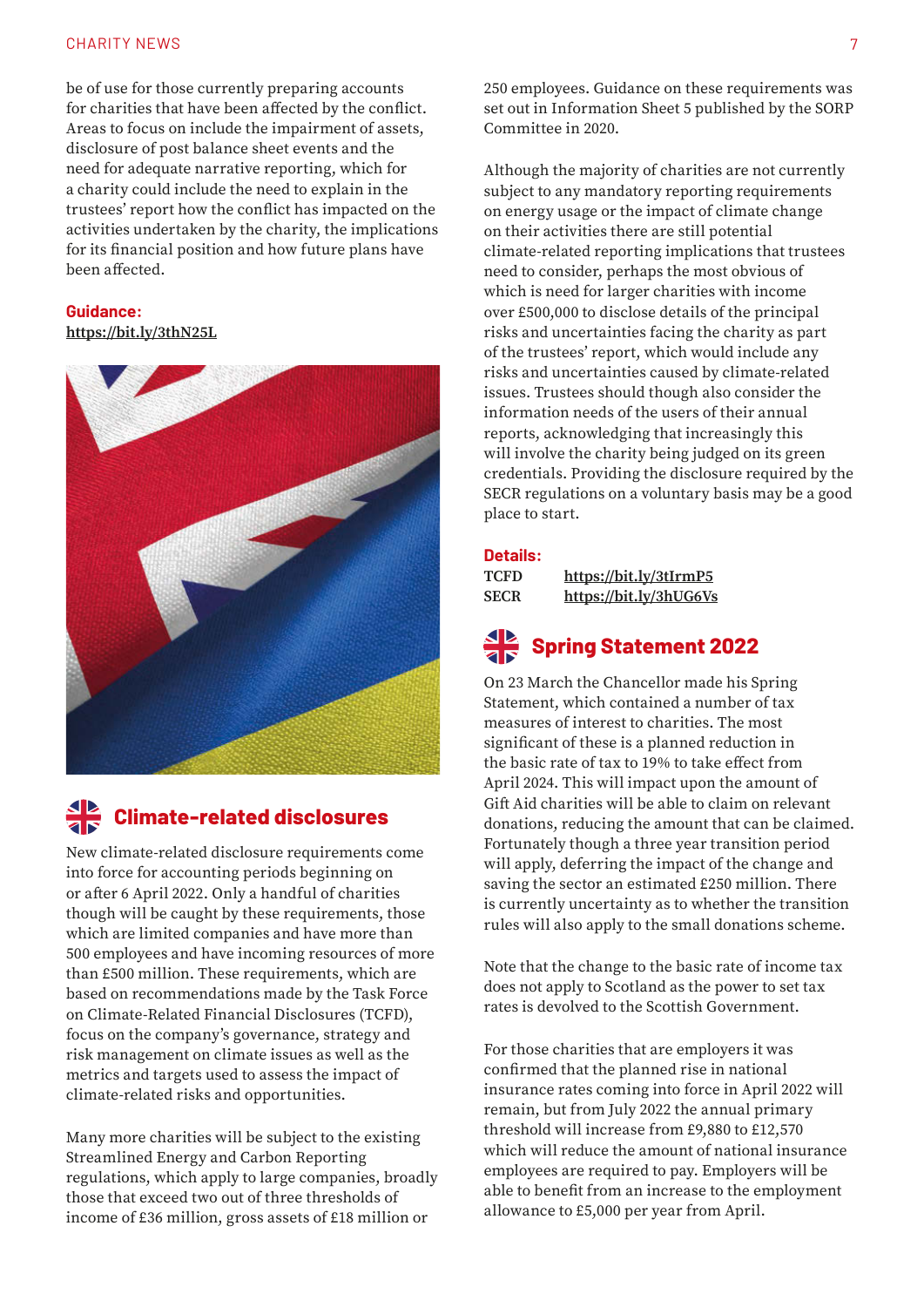#### CHARITY NEWS 7

be of use for those currently preparing accounts for charities that have been affected by the conflict. Areas to focus on include the impairment of assets, disclosure of post balance sheet events and the need for adequate narrative reporting, which for a charity could include the need to explain in the trustees' report how the conflict has impacted on the activities undertaken by the charity, the implications for its financial position and how future plans have been affected.

#### **Guidance:**

**[https://bit.ly/3thN25L](https://www.icaew.com/technical/financial-reporting/news-and-insights/war-in-ukraine-the-corporate-reporting-implications)**



### **Climate-related disclosures**

New climate-related disclosure requirements come into force for accounting periods beginning on or after 6 April 2022. Only a handful of charities though will be caught by these requirements, those which are limited companies and have more than 500 employees and have incoming resources of more than £500 million. These requirements, which are based on recommendations made by the Task Force on Climate-Related Financial Disclosures (TCFD), focus on the company's governance, strategy and risk management on climate issues as well as the metrics and targets used to assess the impact of climate-related risks and opportunities.

Many more charities will be subject to the existing Streamlined Energy and Carbon Reporting regulations, which apply to large companies, broadly those that exceed two out of three thresholds of income of £36 million, gross assets of £18 million or

250 employees. Guidance on these requirements was set out in Information Sheet 5 published by the SORP Committee in 2020.

Although the majority of charities are not currently subject to any mandatory reporting requirements on energy usage or the impact of climate change on their activities there are still potential climate-related reporting implications that trustees need to consider, perhaps the most obvious of which is need for larger charities with income over £500,000 to disclose details of the principal risks and uncertainties facing the charity as part of the trustees' report, which would include any risks and uncertainties caused by climate-related issues. Trustees should though also consider the information needs of the users of their annual reports, acknowledging that increasingly this will involve the charity being judged on its green credentials. Providing the disclosure required by the SECR regulations on a voluntary basis may be a good place to start.

#### **Details:**

| <b>TCFD</b> | https://bit.ly/3tIrmP5 |
|-------------|------------------------|
| <b>SECR</b> | https://bit.ly/3hUG6Vs |

## **Spring Statement 2022**

On 23 March the Chancellor made his Spring Statement, which contained a number of tax measures of interest to charities. The most significant of these is a planned reduction in the basic rate of tax to 19% to take effect from April 2024. This will impact upon the amount of Gift Aid charities will be able to claim on relevant donations, reducing the amount that can be claimed. Fortunately though a three year transition period will apply, deferring the impact of the change and saving the sector an estimated £250 million. There is currently uncertainty as to whether the transition rules will also apply to the small donations scheme.

Note that the change to the basic rate of income tax does not apply to Scotland as the power to set tax rates is devolved to the Scottish Government.

For those charities that are employers it was confirmed that the planned rise in national insurance rates coming into force in April 2022 will remain, but from July 2022 the annual primary threshold will increase from £9,880 to £12,570 which will reduce the amount of national insurance employees are required to pay. Employers will be able to benefit from an increase to the employment allowance to £5,000 per year from April.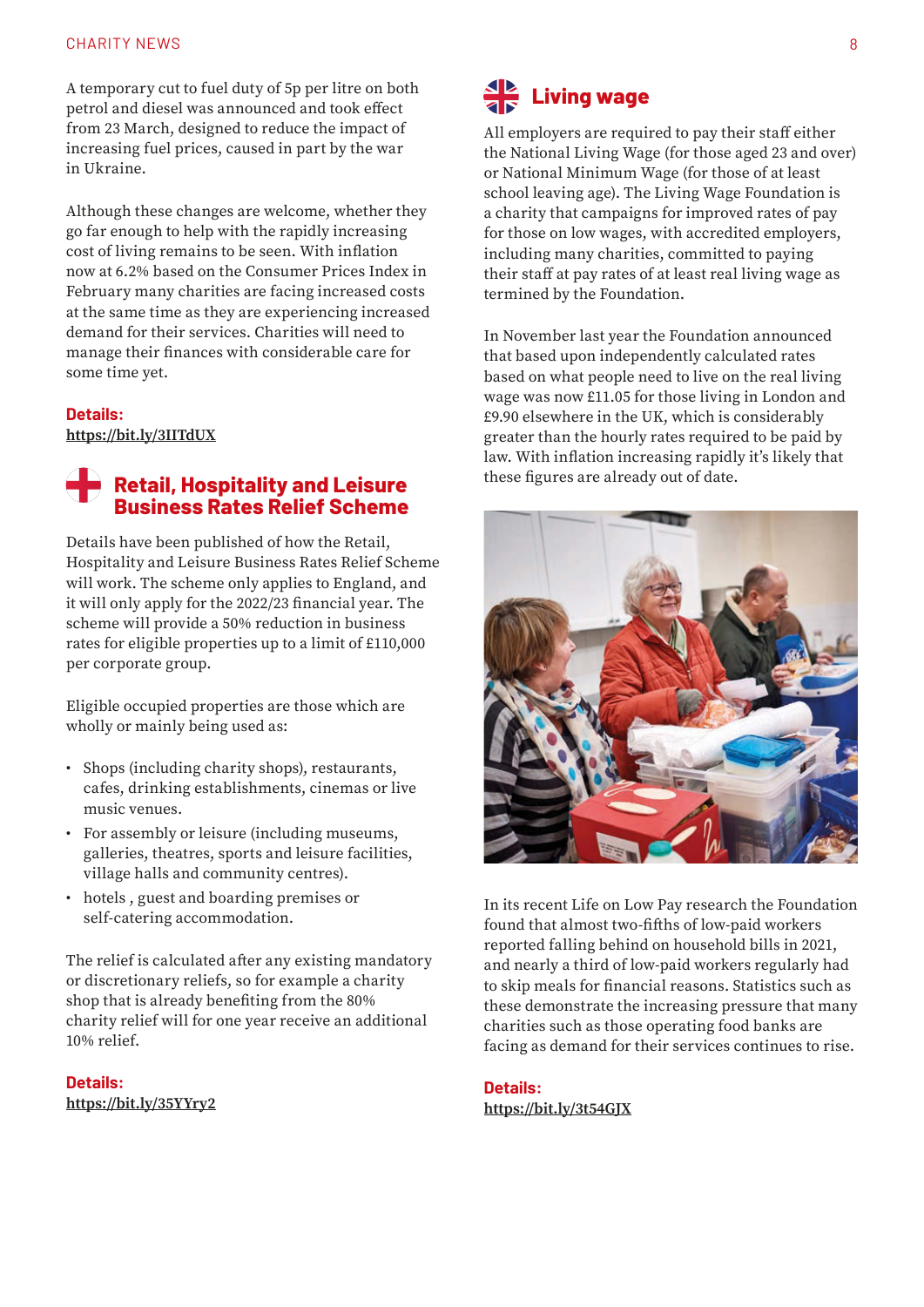#### CHARITY NEWS 8

A temporary cut to fuel duty of 5p per litre on both petrol and diesel was announced and took effect from 23 March, designed to reduce the impact of increasing fuel prices, caused in part by the war in Ukraine.

Although these changes are welcome, whether they go far enough to help with the rapidly increasing cost of living remains to be seen. With inflation now at 6.2% based on the Consumer Prices Index in February many charities are facing increased costs at the same time as they are experiencing increased demand for their services. Charities will need to manage their finances with considerable care for some time yet.

#### **Details:**

**[https://bit.ly/3IITdUX](https://assets.publishing.service.gov.uk/government/uploads/system/uploads/attachment_data/file/1062486/Spring_Statement_2022_Web_Accessible.pdf)**

#### **Retail, Hospitality and Leisure Business Rates Relief Scheme**

Details have been published of how the Retail, Hospitality and Leisure Business Rates Relief Scheme will work. The scheme only applies to England, and it will only apply for the 2022/23 financial year. The scheme will provide a 50% reduction in business rates for eligible properties up to a limit of £110,000 per corporate group.

Eligible occupied properties are those which are wholly or mainly being used as:

- Shops (including charity shops), restaurants, cafes, drinking establishments, cinemas or live music venues.
- For assembly or leisure (including museums, galleries, theatres, sports and leisure facilities, village halls and community centres).
- hotels , guest and boarding premises or self-catering accommodation.

The relief is calculated after any existing mandatory or discretionary reliefs, so for example a charity shop that is already benefiting from the 80% charity relief will for one year receive an additional 10% relief.

**Details: [https://bit.ly/35YYry2](https://www.gov.uk/government/publications/business-rates-guidance-202223-retail-hospitality-and-leisure-relief-scheme?dm_i=G8B,7QWGS,1EPCAE,VL473,1)**



All employers are required to pay their staff either the National Living Wage (for those aged 23 and over) or National Minimum Wage (for those of at least school leaving age). The Living Wage Foundation is a charity that campaigns for improved rates of pay for those on low wages, with accredited employers, including many charities, committed to paying their staff at pay rates of at least real living wage as termined by the Foundation.

In November last year the Foundation announced that based upon independently calculated rates based on what people need to live on the real living wage was now £11.05 for those living in London and £9.90 elsewhere in the UK, which is considerably greater than the hourly rates required to be paid by law. With inflation increasing rapidly it's likely that these figures are already out of date.



In its recent Life on Low Pay research the Foundation found that almost two-fifths of low-paid workers reported falling behind on household bills in 2021, and nearly a third of low-paid workers regularly had to skip meals for financial reasons. Statistics such as these demonstrate the increasing pressure that many charities such as those operating food banks are facing as demand for their services continues to rise.

**Details: [https://bit.ly/3t54GJX](https://www.livingwage.org.uk/)**